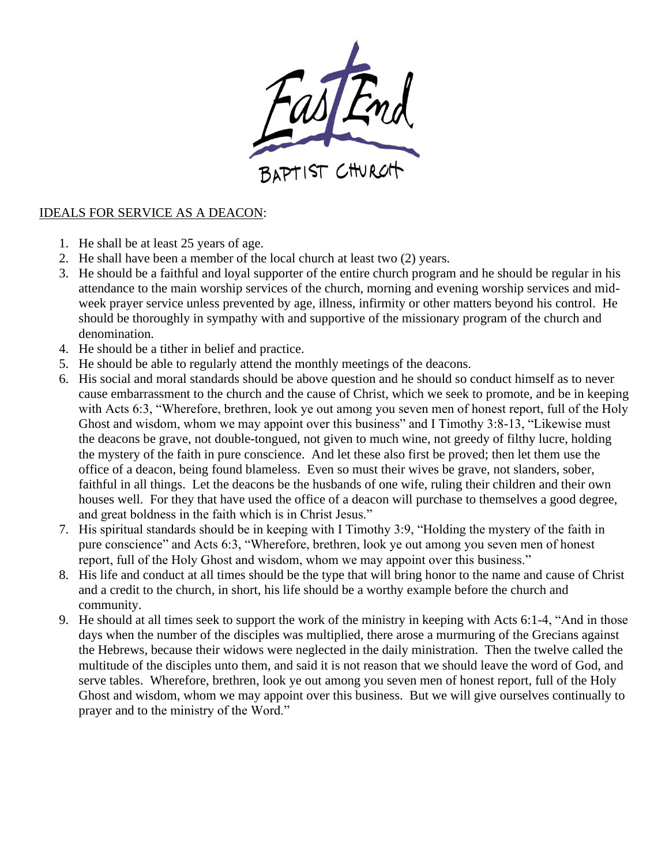

## IDEALS FOR SERVICE AS A DEACON:

- 1. He shall be at least 25 years of age.
- 2. He shall have been a member of the local church at least two (2) years.
- 3. He should be a faithful and loyal supporter of the entire church program and he should be regular in his attendance to the main worship services of the church, morning and evening worship services and midweek prayer service unless prevented by age, illness, infirmity or other matters beyond his control. He should be thoroughly in sympathy with and supportive of the missionary program of the church and denomination.
- 4. He should be a tither in belief and practice.
- 5. He should be able to regularly attend the monthly meetings of the deacons.
- 6. His social and moral standards should be above question and he should so conduct himself as to never cause embarrassment to the church and the cause of Christ, which we seek to promote, and be in keeping with Acts 6:3, "Wherefore, brethren, look ye out among you seven men of honest report, full of the Holy Ghost and wisdom, whom we may appoint over this business" and I Timothy 3:8-13, "Likewise must the deacons be grave, not double-tongued, not given to much wine, not greedy of filthy lucre, holding the mystery of the faith in pure conscience. And let these also first be proved; then let them use the office of a deacon, being found blameless. Even so must their wives be grave, not slanders, sober, faithful in all things. Let the deacons be the husbands of one wife, ruling their children and their own houses well. For they that have used the office of a deacon will purchase to themselves a good degree, and great boldness in the faith which is in Christ Jesus."
- 7. His spiritual standards should be in keeping with I Timothy 3:9, "Holding the mystery of the faith in pure conscience" and Acts 6:3, "Wherefore, brethren, look ye out among you seven men of honest report, full of the Holy Ghost and wisdom, whom we may appoint over this business."
- 8. His life and conduct at all times should be the type that will bring honor to the name and cause of Christ and a credit to the church, in short, his life should be a worthy example before the church and community.
- 9. He should at all times seek to support the work of the ministry in keeping with Acts 6:1-4, "And in those days when the number of the disciples was multiplied, there arose a murmuring of the Grecians against the Hebrews, because their widows were neglected in the daily ministration. Then the twelve called the multitude of the disciples unto them, and said it is not reason that we should leave the word of God, and serve tables. Wherefore, brethren, look ye out among you seven men of honest report, full of the Holy Ghost and wisdom, whom we may appoint over this business. But we will give ourselves continually to prayer and to the ministry of the Word."